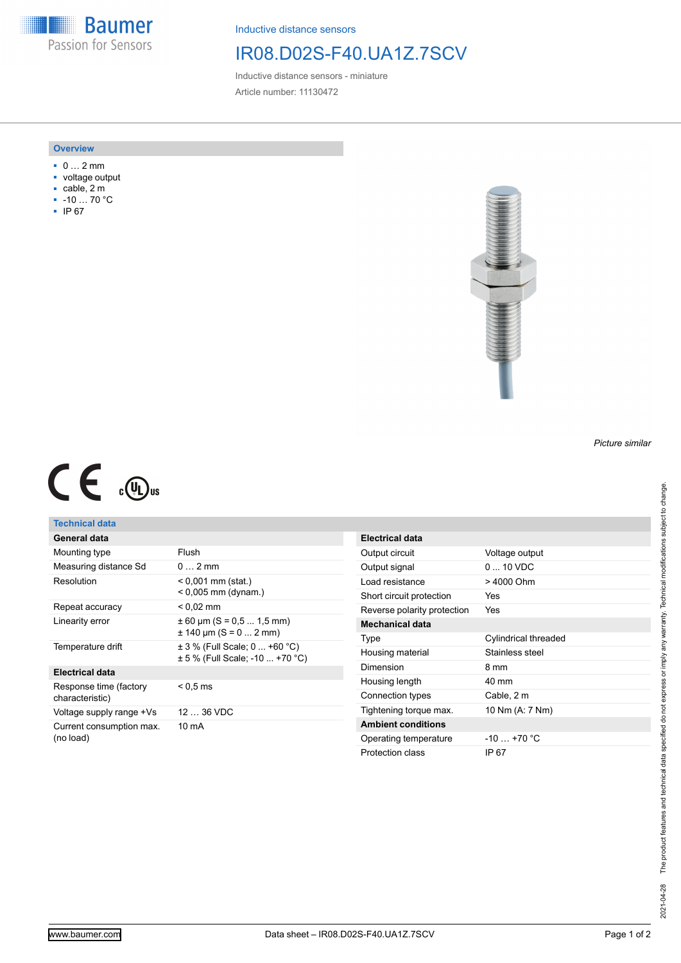**Baumer** Passion for Sensors

Inductive distance sensors

### IR08.D02S-F40.UA1Z.7SCV

Inductive distance sensors - miniature Article number: 11130472

#### **Overview**

- 0 … 2 mm
- voltage output
- cable, 2 m
- -10 … 70 °C
- IP 67



# $C \in \mathbb{C}$

### **Technical data**

| General data                              |                                                                  |
|-------------------------------------------|------------------------------------------------------------------|
| Mounting type                             | Flush                                                            |
| Measuring distance Sd                     | $0 \dots 2$ mm                                                   |
| Resolution                                | < 0,001 mm (stat.)<br>$< 0.005$ mm (dynam.)                      |
| Repeat accuracy                           | < 0.02 mm                                                        |
| Linearity error                           | $\pm$ 60 µm (S = 0.5  1.5 mm)<br>$\pm$ 140 µm (S = 0  2 mm)      |
| Temperature drift                         | ± 3 % (Full Scale; 0  +60 °C)<br>± 5 % (Full Scale: -10  +70 °C) |
| <b>Electrical data</b>                    |                                                                  |
| Response time (factory<br>characteristic) | $<$ 0.5 ms                                                       |
| Voltage supply range +Vs                  | $1236$ VDC                                                       |
| Current consumption max.<br>(no load)     | 10 mA                                                            |

| Electrical data             |                      |
|-----------------------------|----------------------|
| Output circuit              | Voltage output       |
| Output signal               | $0.10$ VDC           |
| Load resistance             | > 4000 Ohm           |
| Short circuit protection    | Yes                  |
| Reverse polarity protection | Yes                  |
| Mechanical data             |                      |
| Type                        | Cylindrical threaded |
| Housing material            | Stainless steel      |
| Dimension                   | 8 mm                 |
| Housing length              | $40 \text{ mm}$      |
| Connection types            | Cable, 2 m           |
| Tightening torque max.      | 10 Nm (A: 7 Nm)      |
| <b>Ambient conditions</b>   |                      |
| Operating temperature       | $-10 - +70$ °C       |
| Protection class            | IP 67                |

*Picture similar*